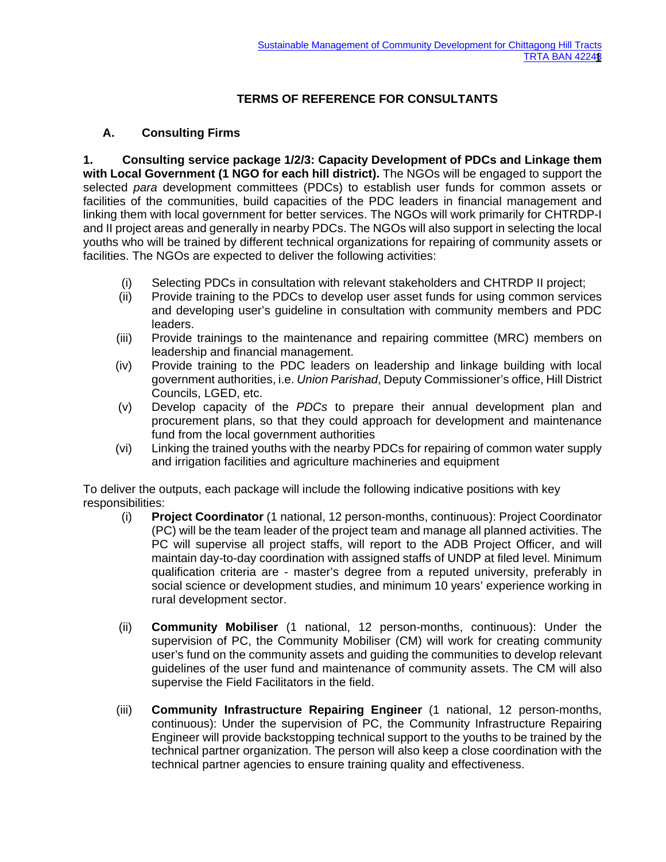## **TERMS OF REFERENCE FOR CONSULTANTS**

## **A. Consulting Firms**

**1. Consulting service package 1/2/3: Capacity Development of PDCs and Linkage them with Local Government (1 NGO for each hill district).** The NGOs will be engaged to support the selected *para* development committees (PDCs) to establish user funds for common assets or facilities of the communities, build capacities of the PDC leaders in financial management and linking them with local government for better services. The NGOs will work primarily for CHTRDP-I and II project areas and generally in nearby PDCs. The NGOs will also support in selecting the local youths who will be trained by different technical organizations for repairing of community assets or facilities. The NGOs are expected to deliver the following activities:

- (i) Selecting PDCs in consultation with relevant stakeholders and CHTRDP II project;
- (ii) Provide training to the PDCs to develop user asset funds for using common services and developing user's guideline in consultation with community members and PDC leaders.
- (iii) Provide trainings to the maintenance and repairing committee (MRC) members on leadership and financial management.
- (iv) Provide training to the PDC leaders on leadership and linkage building with local government authorities, i.e. *Union Parishad*, Deputy Commissioner's office, Hill District Councils, LGED, etc.
- (v) Develop capacity of the *PDCs* to prepare their annual development plan and procurement plans, so that they could approach for development and maintenance fund from the local government authorities
- (vi) Linking the trained youths with the nearby PDCs for repairing of common water supply and irrigation facilities and agriculture machineries and equipment

To deliver the outputs, each package will include the following indicative positions with key responsibilities:

- (i) **Project Coordinator** (1 national, 12 person-months, continuous): Project Coordinator (PC) will be the team leader of the project team and manage all planned activities. The PC will supervise all project staffs, will report to the ADB Project Officer, and will maintain day-to-day coordination with assigned staffs of UNDP at filed level. Minimum qualification criteria are - master's degree from a reputed university, preferably in social science or development studies, and minimum 10 years' experience working in rural development sector.
- (ii) **Community Mobiliser** (1 national, 12 person-months, continuous): Under the supervision of PC, the Community Mobiliser (CM) will work for creating community user's fund on the community assets and guiding the communities to develop relevant guidelines of the user fund and maintenance of community assets. The CM will also supervise the Field Facilitators in the field.
- (iii) **Community Infrastructure Repairing Engineer** (1 national, 12 person-months, continuous): Under the supervision of PC, the Community Infrastructure Repairing Engineer will provide backstopping technical support to the youths to be trained by the technical partner organization. The person will also keep a close coordination with the technical partner agencies to ensure training quality and effectiveness.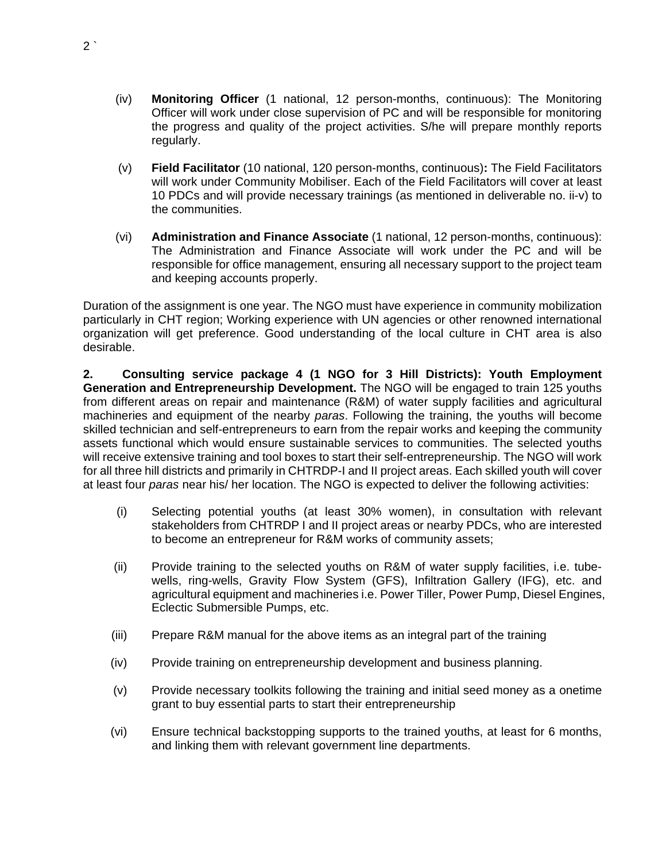- (iv) **Monitoring Officer** (1 national, 12 person-months, continuous): The Monitoring Officer will work under close supervision of PC and will be responsible for monitoring the progress and quality of the project activities. S/he will prepare monthly reports regularly.
- (v) **Field Facilitator** (10 national, 120 person-months, continuous)**:** The Field Facilitators will work under Community Mobiliser. Each of the Field Facilitators will cover at least 10 PDCs and will provide necessary trainings (as mentioned in deliverable no. ii-v) to the communities.
- (vi) **Administration and Finance Associate** (1 national, 12 person-months, continuous): The Administration and Finance Associate will work under the PC and will be responsible for office management, ensuring all necessary support to the project team and keeping accounts properly.

Duration of the assignment is one year. The NGO must have experience in community mobilization particularly in CHT region; Working experience with UN agencies or other renowned international organization will get preference. Good understanding of the local culture in CHT area is also desirable.

**2. Consulting service package 4 (1 NGO for 3 Hill Districts): Youth Employment Generation and Entrepreneurship Development.** The NGO will be engaged to train 125 youths from different areas on repair and maintenance (R&M) of water supply facilities and agricultural machineries and equipment of the nearby *paras*. Following the training, the youths will become skilled technician and self-entrepreneurs to earn from the repair works and keeping the community assets functional which would ensure sustainable services to communities. The selected youths will receive extensive training and tool boxes to start their self-entrepreneurship. The NGO will work for all three hill districts and primarily in CHTRDP-I and II project areas. Each skilled youth will cover at least four *paras* near his/ her location. The NGO is expected to deliver the following activities:

- (i) Selecting potential youths (at least 30% women), in consultation with relevant stakeholders from CHTRDP I and II project areas or nearby PDCs, who are interested to become an entrepreneur for R&M works of community assets;
- (ii) Provide training to the selected youths on R&M of water supply facilities, i.e. tubewells, ring-wells, Gravity Flow System (GFS), Infiltration Gallery (IFG), etc. and agricultural equipment and machineries i.e. Power Tiller, Power Pump, Diesel Engines, Eclectic Submersible Pumps, etc.
- (iii) Prepare R&M manual for the above items as an integral part of the training
- (iv) Provide training on entrepreneurship development and business planning.
- (v) Provide necessary toolkits following the training and initial seed money as a onetime grant to buy essential parts to start their entrepreneurship
- (vi) Ensure technical backstopping supports to the trained youths, at least for 6 months, and linking them with relevant government line departments.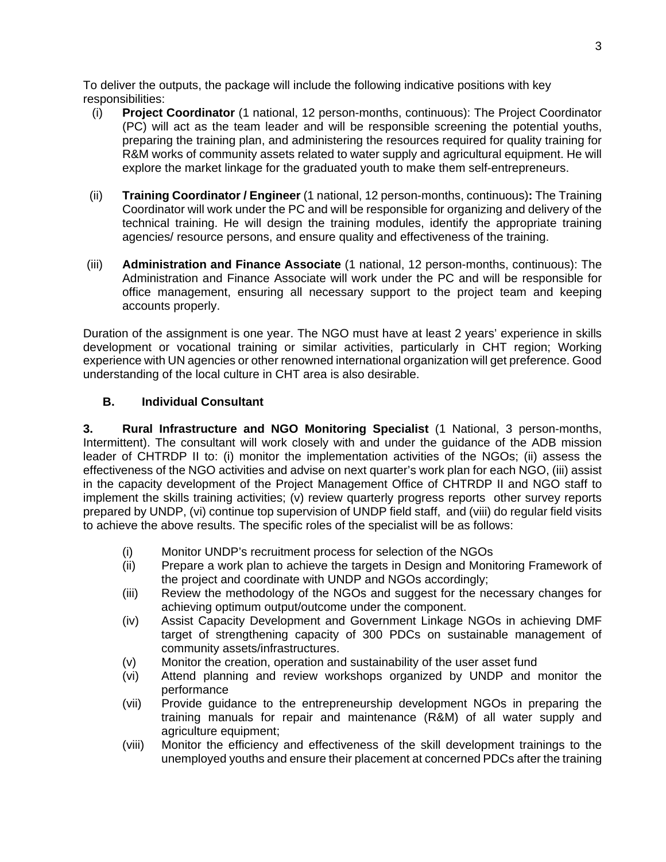To deliver the outputs, the package will include the following indicative positions with key responsibilities:

- (i) **Project Coordinator** (1 national, 12 person-months, continuous): The Project Coordinator (PC) will act as the team leader and will be responsible screening the potential youths, preparing the training plan, and administering the resources required for quality training for R&M works of community assets related to water supply and agricultural equipment. He will explore the market linkage for the graduated youth to make them self-entrepreneurs.
- (ii) **Training Coordinator / Engineer** (1 national, 12 person-months, continuous)**:** The Training Coordinator will work under the PC and will be responsible for organizing and delivery of the technical training. He will design the training modules, identify the appropriate training agencies/ resource persons, and ensure quality and effectiveness of the training.
- (iii) **Administration and Finance Associate** (1 national, 12 person-months, continuous): The Administration and Finance Associate will work under the PC and will be responsible for office management, ensuring all necessary support to the project team and keeping accounts properly.

Duration of the assignment is one year. The NGO must have at least 2 years' experience in skills development or vocational training or similar activities, particularly in CHT region; Working experience with UN agencies or other renowned international organization will get preference. Good understanding of the local culture in CHT area is also desirable.

## **B. Individual Consultant**

**3. Rural Infrastructure and NGO Monitoring Specialist** (1 National, 3 person-months, Intermittent). The consultant will work closely with and under the guidance of the ADB mission leader of CHTRDP II to: (i) monitor the implementation activities of the NGOs; (ii) assess the effectiveness of the NGO activities and advise on next quarter's work plan for each NGO, (iii) assist in the capacity development of the Project Management Office of CHTRDP II and NGO staff to implement the skills training activities; (v) review quarterly progress reports other survey reports prepared by UNDP, (vi) continue top supervision of UNDP field staff, and (viii) do regular field visits to achieve the above results. The specific roles of the specialist will be as follows:

- (i) Monitor UNDP's recruitment process for selection of the NGOs
- (ii) Prepare a work plan to achieve the targets in Design and Monitoring Framework of the project and coordinate with UNDP and NGOs accordingly;
- (iii) Review the methodology of the NGOs and suggest for the necessary changes for achieving optimum output/outcome under the component.
- (iv) Assist Capacity Development and Government Linkage NGOs in achieving DMF target of strengthening capacity of 300 PDCs on sustainable management of community assets/infrastructures.
- (v) Monitor the creation, operation and sustainability of the user asset fund
- (vi) Attend planning and review workshops organized by UNDP and monitor the performance
- (vii) Provide guidance to the entrepreneurship development NGOs in preparing the training manuals for repair and maintenance (R&M) of all water supply and agriculture equipment;
- (viii) Monitor the efficiency and effectiveness of the skill development trainings to the unemployed youths and ensure their placement at concerned PDCs after the training